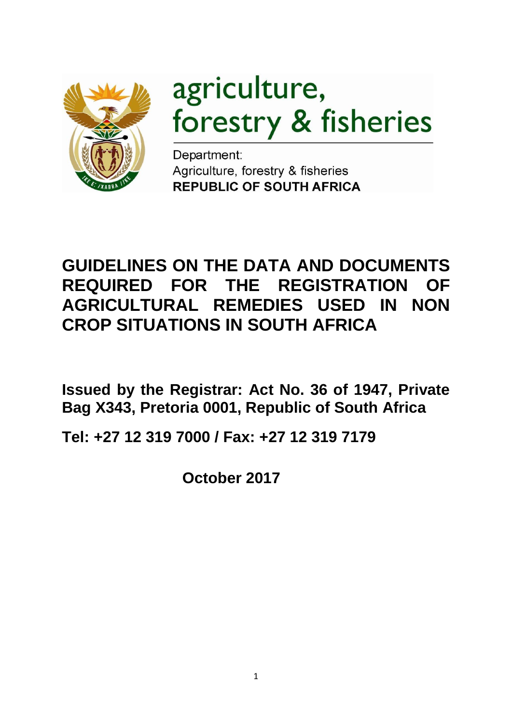

# agriculture, forestry & fisheries

Department: Agriculture, forestry & fisheries **REPUBLIC OF SOUTH AFRICA** 

# **GUIDELINES ON THE DATA AND DOCUMENTS REQUIRED FOR THE REGISTRATION OF AGRICULTURAL REMEDIES USED IN NON CROP SITUATIONS IN SOUTH AFRICA**

**Issued by the Registrar: Act No. 36 of 1947, Private Bag X343, Pretoria 0001, Republic of South Africa**

**Tel: +27 12 319 7000 / Fax: +27 12 319 7179**

 **October 2017**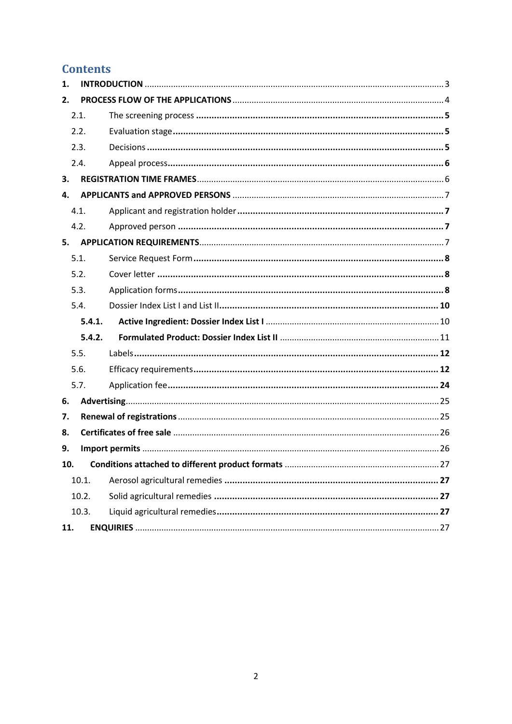# **Contents**

| 1.    |        |  |  |  |  |  |  |
|-------|--------|--|--|--|--|--|--|
| 2.    |        |  |  |  |  |  |  |
| 2.1.  |        |  |  |  |  |  |  |
|       | 2.2.   |  |  |  |  |  |  |
|       | 2.3.   |  |  |  |  |  |  |
| 2.4.  |        |  |  |  |  |  |  |
| 3.    |        |  |  |  |  |  |  |
| 4.    |        |  |  |  |  |  |  |
| 4.1.  |        |  |  |  |  |  |  |
| 4.2.  |        |  |  |  |  |  |  |
| 5.    |        |  |  |  |  |  |  |
| 5.1.  |        |  |  |  |  |  |  |
|       | 5.2.   |  |  |  |  |  |  |
|       | 5.3.   |  |  |  |  |  |  |
| 5.4.  |        |  |  |  |  |  |  |
|       | 5.4.1. |  |  |  |  |  |  |
|       | 5.4.2. |  |  |  |  |  |  |
| 5.5.  |        |  |  |  |  |  |  |
| 5.6.  |        |  |  |  |  |  |  |
|       | 5.7.   |  |  |  |  |  |  |
| 6.    |        |  |  |  |  |  |  |
| 7.    |        |  |  |  |  |  |  |
| 8.    |        |  |  |  |  |  |  |
| 9.    |        |  |  |  |  |  |  |
| 10.   |        |  |  |  |  |  |  |
|       | 10.1.  |  |  |  |  |  |  |
| 10.2. |        |  |  |  |  |  |  |
| 10.3. |        |  |  |  |  |  |  |
| 11.   |        |  |  |  |  |  |  |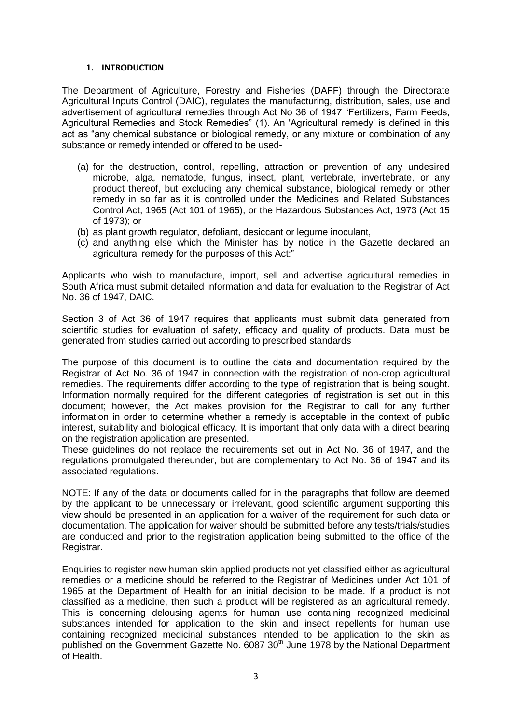#### **1. INTRODUCTION**

<span id="page-2-0"></span>The Department of Agriculture, Forestry and Fisheries (DAFF) through the Directorate Agricultural Inputs Control (DAIC), regulates the manufacturing, distribution, sales, use and advertisement of agricultural remedies through Act No 36 of 1947 "Fertilizers, Farm Feeds, Agricultural Remedies and Stock Remedies" (1). An 'Agricultural remedy' is defined in this act as "any chemical substance or biological remedy, or any mixture or combination of any substance or remedy intended or offered to be used-

- (a) for the destruction, control, repelling, attraction or prevention of any undesired microbe, alga, nematode, fungus, insect, plant, vertebrate, invertebrate, or any product thereof, but excluding any chemical substance, biological remedy or other remedy in so far as it is controlled under the Medicines and Related Substances Control Act, 1965 (Act 101 of 1965), or the Hazardous Substances Act, 1973 (Act 15 of 1973); or
- (b) as plant growth regulator, defoliant, desiccant or legume inoculant,
- (c) and anything else which the Minister has by notice in the Gazette declared an agricultural remedy for the purposes of this Act:"

Applicants who wish to manufacture, import, sell and advertise agricultural remedies in South Africa must submit detailed information and data for evaluation to the Registrar of Act No. 36 of 1947, DAIC.

Section 3 of Act 36 of 1947 requires that applicants must submit data generated from scientific studies for evaluation of safety, efficacy and quality of products. Data must be generated from studies carried out according to prescribed standards

The purpose of this document is to outline the data and documentation required by the Registrar of Act No. 36 of 1947 in connection with the registration of non-crop agricultural remedies. The requirements differ according to the type of registration that is being sought. Information normally required for the different categories of registration is set out in this document; however, the Act makes provision for the Registrar to call for any further information in order to determine whether a remedy is acceptable in the context of public interest, suitability and biological efficacy. It is important that only data with a direct bearing on the registration application are presented.

These guidelines do not replace the requirements set out in Act No. 36 of 1947, and the regulations promulgated thereunder, but are complementary to Act No. 36 of 1947 and its associated regulations.

NOTE: If any of the data or documents called for in the paragraphs that follow are deemed by the applicant to be unnecessary or irrelevant, good scientific argument supporting this view should be presented in an application for a waiver of the requirement for such data or documentation. The application for waiver should be submitted before any tests/trials/studies are conducted and prior to the registration application being submitted to the office of the Registrar.

Enquiries to register new human skin applied products not yet classified either as agricultural remedies or a medicine should be referred to the Registrar of Medicines under Act 101 of 1965 at the Department of Health for an initial decision to be made. If a product is not classified as a medicine, then such a product will be registered as an agricultural remedy. This is concerning delousing agents for human use containing recognized medicinal substances intended for application to the skin and insect repellents for human use containing recognized medicinal substances intended to be application to the skin as published on the Government Gazette No. 6087 30<sup>th</sup> June 1978 by the National Department of Health.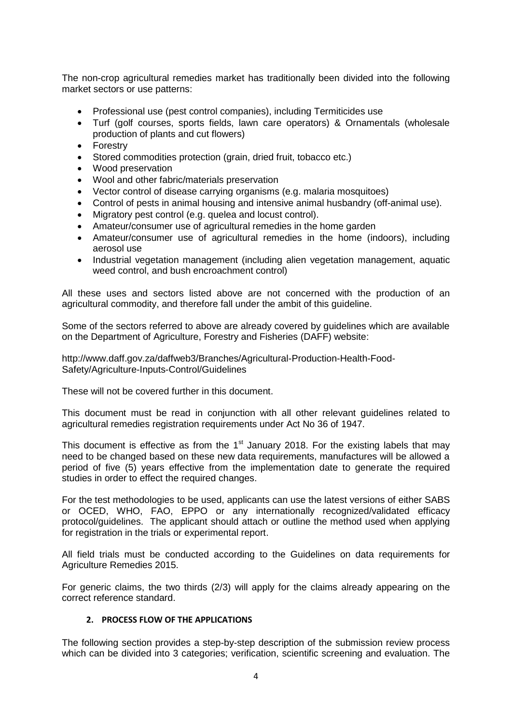The non-crop agricultural remedies market has traditionally been divided into the following market sectors or use patterns:

- Professional use (pest control companies), including Termiticides use
- Turf (golf courses, sports fields, lawn care operators) & Ornamentals (wholesale production of plants and cut flowers)
- Forestry
- Stored commodities protection (grain, dried fruit, tobacco etc.)
- Wood preservation
- Wool and other fabric/materials preservation
- Vector control of disease carrying organisms (e.g. malaria mosquitoes)
- Control of pests in animal housing and intensive animal husbandry (off-animal use).
- Migratory pest control (e.g. quelea and locust control).
- Amateur/consumer use of agricultural remedies in the home garden
- Amateur/consumer use of agricultural remedies in the home (indoors), including aerosol use
- Industrial vegetation management (including alien vegetation management, aquatic weed control, and bush encroachment control)

All these uses and sectors listed above are not concerned with the production of an agricultural commodity, and therefore fall under the ambit of this guideline.

Some of the sectors referred to above are already covered by guidelines which are available on the Department of Agriculture, Forestry and Fisheries (DAFF) website:

http://www.daff.gov.za/daffweb3/Branches/Agricultural-Production-Health-Food-Safety/Agriculture-Inputs-Control/Guidelines

These will not be covered further in this document.

This document must be read in conjunction with all other relevant guidelines related to agricultural remedies registration requirements under Act No 36 of 1947.

This document is effective as from the  $1<sup>st</sup>$  January 2018. For the existing labels that may need to be changed based on these new data requirements, manufactures will be allowed a period of five (5) years effective from the implementation date to generate the required studies in order to effect the required changes.

For the test methodologies to be used, applicants can use the latest versions of either SABS or OCED, WHO, FAO, EPPO or any internationally recognized/validated efficacy protocol/guidelines. The applicant should attach or outline the method used when applying for registration in the trials or experimental report.

All field trials must be conducted according to the Guidelines on data requirements for Agriculture Remedies 2015.

For generic claims, the two thirds (2/3) will apply for the claims already appearing on the correct reference standard.

# **2. PROCESS FLOW OF THE APPLICATIONS**

<span id="page-3-0"></span>The following section provides a step-by-step description of the submission review process which can be divided into 3 categories; verification, scientific screening and evaluation. The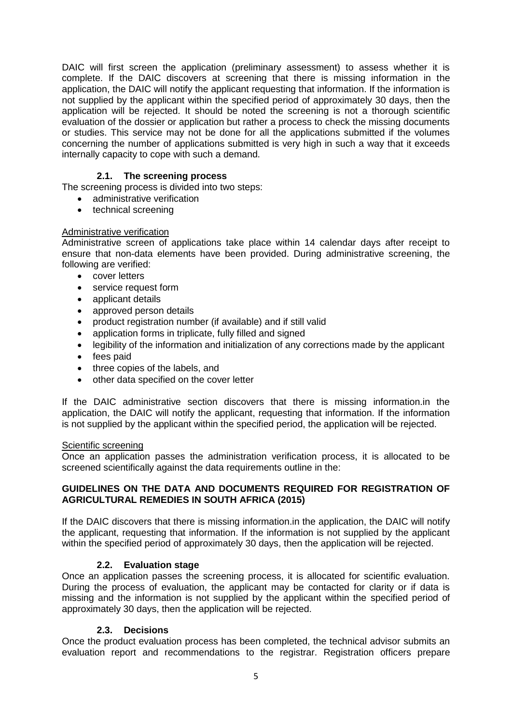DAIC will first screen the application (preliminary assessment) to assess whether it is complete. If the DAIC discovers at screening that there is missing information in the application, the DAIC will notify the applicant requesting that information. If the information is not supplied by the applicant within the specified period of approximately 30 days, then the application will be rejected. It should be noted the screening is not a thorough scientific evaluation of the dossier or application but rather a process to check the missing documents or studies. This service may not be done for all the applications submitted if the volumes concerning the number of applications submitted is very high in such a way that it exceeds internally capacity to cope with such a demand.

# **2.1. The screening process**

<span id="page-4-0"></span>The screening process is divided into two steps:

- administrative verification
- technical screening

#### Administrative verification

Administrative screen of applications take place within 14 calendar days after receipt to ensure that non-data elements have been provided. During administrative screening, the following are verified:

- cover letters
- service request form
- applicant details
- approved person details
- product registration number (if available) and if still valid
- application forms in triplicate, fully filled and signed
- legibility of the information and initialization of any corrections made by the applicant
- fees paid
- three copies of the labels, and
- other data specified on the cover letter

If the DAIC administrative section discovers that there is missing information.in the application, the DAIC will notify the applicant, requesting that information. If the information is not supplied by the applicant within the specified period, the application will be rejected.

#### Scientific screening

Once an application passes the administration verification process, it is allocated to be screened scientifically against the data requirements outline in the:

#### **GUIDELINES ON THE DATA AND DOCUMENTS REQUIRED FOR REGISTRATION OF AGRICULTURAL REMEDIES IN SOUTH AFRICA (2015)**

If the DAIC discovers that there is missing information.in the application, the DAIC will notify the applicant, requesting that information. If the information is not supplied by the applicant within the specified period of approximately 30 days, then the application will be rejected.

#### **2.2. Evaluation stage**

<span id="page-4-1"></span>Once an application passes the screening process, it is allocated for scientific evaluation. During the process of evaluation, the applicant may be contacted for clarity or if data is missing and the information is not supplied by the applicant within the specified period of approximately 30 days, then the application will be rejected.

#### **2.3. Decisions**

<span id="page-4-2"></span>Once the product evaluation process has been completed, the technical advisor submits an evaluation report and recommendations to the registrar. Registration officers prepare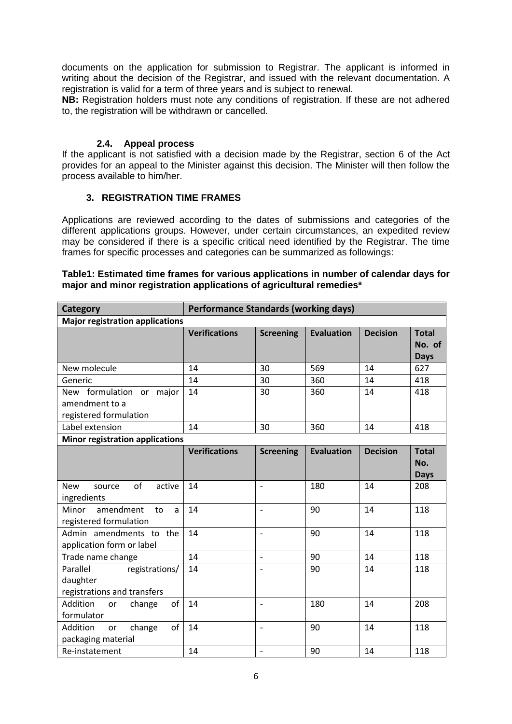documents on the application for submission to Registrar. The applicant is informed in writing about the decision of the Registrar, and issued with the relevant documentation. A registration is valid for a term of three years and is subject to renewal.

**NB:** Registration holders must note any conditions of registration. If these are not adhered to, the registration will be withdrawn or cancelled.

### **2.4. Appeal process**

<span id="page-5-0"></span>If the applicant is not satisfied with a decision made by the Registrar, section 6 of the Act provides for an appeal to the Minister against this decision. The Minister will then follow the process available to him/her.

# **3. REGISTRATION TIME FRAMES**

<span id="page-5-1"></span>Applications are reviewed according to the dates of submissions and categories of the different applications groups. However, under certain circumstances, an expedited review may be considered if there is a specific critical need identified by the Registrar. The time frames for specific processes and categories can be summarized as followings:

| Table1: Estimated time frames for various applications in number of calendar days for |
|---------------------------------------------------------------------------------------|
| major and minor registration applications of agricultural remedies*                   |

| Category                                                              | <b>Performance Standards (working days)</b> |                          |                   |                 |                                       |  |  |  |  |  |
|-----------------------------------------------------------------------|---------------------------------------------|--------------------------|-------------------|-----------------|---------------------------------------|--|--|--|--|--|
| <b>Major registration applications</b>                                |                                             |                          |                   |                 |                                       |  |  |  |  |  |
|                                                                       | <b>Verifications</b>                        | <b>Screening</b>         | <b>Evaluation</b> | <b>Decision</b> | <b>Total</b><br>No. of<br><b>Days</b> |  |  |  |  |  |
| New molecule                                                          | 14                                          | 30                       | 569               | 14              | 627                                   |  |  |  |  |  |
| Generic                                                               | 14                                          | 30                       | 360               | 14              | 418                                   |  |  |  |  |  |
| New formulation or major<br>amendment to a<br>registered formulation  | 14                                          | 30                       | 360               | 14              | 418                                   |  |  |  |  |  |
| Label extension                                                       | 14                                          | 30                       | 360               | 14              | 418                                   |  |  |  |  |  |
| <b>Minor registration applications</b>                                |                                             |                          |                   |                 |                                       |  |  |  |  |  |
|                                                                       | <b>Verifications</b>                        | <b>Screening</b>         | <b>Evaluation</b> | <b>Decision</b> | <b>Total</b><br>No.<br><b>Days</b>    |  |  |  |  |  |
| of<br><b>New</b><br>active<br>source<br>ingredients                   | 14                                          | $\overline{\phantom{0}}$ | 180               | 14              | 208                                   |  |  |  |  |  |
| Minor<br>amendment<br>to<br>a<br>registered formulation               | 14                                          | $\qquad \qquad -$        | 90                | 14              | 118                                   |  |  |  |  |  |
| Admin amendments to the<br>application form or label                  | 14                                          | $\overline{\phantom{a}}$ | 90                | 14              | 118                                   |  |  |  |  |  |
| Trade name change                                                     | 14                                          | $\qquad \qquad -$        | 90                | 14              | 118                                   |  |  |  |  |  |
| Parallel<br>registrations/<br>daughter<br>registrations and transfers | 14                                          |                          | 90                | 14              | 118                                   |  |  |  |  |  |
| Addition<br>of<br>change<br>or<br>formulator                          | 14                                          | $\overline{a}$           | 180               | 14              | 208                                   |  |  |  |  |  |
| of<br>Addition<br>change<br>or<br>packaging material                  | 14                                          | $\qquad \qquad -$        | 90                | 14              | 118                                   |  |  |  |  |  |
| Re-instatement                                                        | 14                                          | $\overline{a}$           | 90                | 14              | 118                                   |  |  |  |  |  |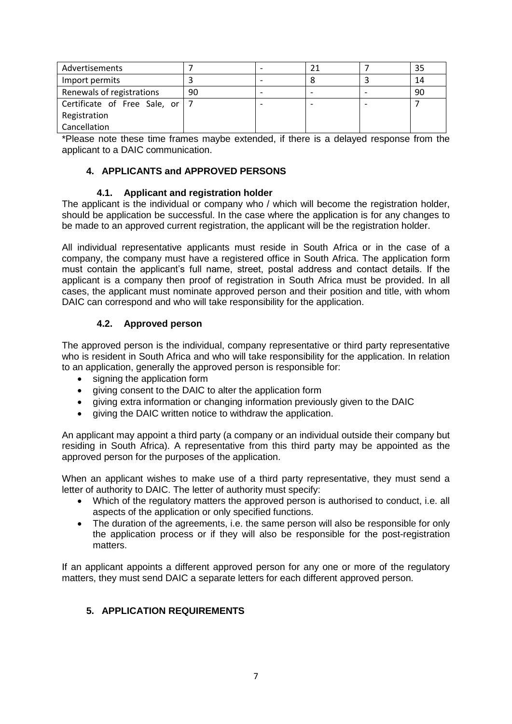| Advertisements               |    |  | 35 |
|------------------------------|----|--|----|
| Import permits               |    |  | 14 |
| Renewals of registrations    | 90 |  | 90 |
| Certificate of Free Sale, or |    |  |    |
| Registration                 |    |  |    |
| Cancellation                 |    |  |    |

\*Please note these time frames maybe extended, if there is a delayed response from the applicant to a DAIC communication.

# <span id="page-6-0"></span>**4. APPLICANTS and APPROVED PERSONS**

#### **4.1. Applicant and registration holder**

<span id="page-6-1"></span>The applicant is the individual or company who / which will become the registration holder, should be application be successful. In the case where the application is for any changes to be made to an approved current registration, the applicant will be the registration holder.

All individual representative applicants must reside in South Africa or in the case of a company, the company must have a registered office in South Africa. The application form must contain the applicant's full name, street, postal address and contact details. If the applicant is a company then proof of registration in South Africa must be provided. In all cases, the applicant must nominate approved person and their position and title, with whom DAIC can correspond and who will take responsibility for the application.

#### **4.2. Approved person**

<span id="page-6-2"></span>The approved person is the individual, company representative or third party representative who is resident in South Africa and who will take responsibility for the application. In relation to an application, generally the approved person is responsible for:

- signing the application form
- giving consent to the DAIC to alter the application form
- giving extra information or changing information previously given to the DAIC
- giving the DAIC written notice to withdraw the application.

An applicant may appoint a third party (a company or an individual outside their company but residing in South Africa). A representative from this third party may be appointed as the approved person for the purposes of the application.

When an applicant wishes to make use of a third party representative, they must send a letter of authority to DAIC. The letter of authority must specify:

- Which of the regulatory matters the approved person is authorised to conduct, i.e. all aspects of the application or only specified functions.
- The duration of the agreements, i.e. the same person will also be responsible for only the application process or if they will also be responsible for the post-registration matters.

If an applicant appoints a different approved person for any one or more of the regulatory matters, they must send DAIC a separate letters for each different approved person.

#### <span id="page-6-3"></span>**5. APPLICATION REQUIREMENTS**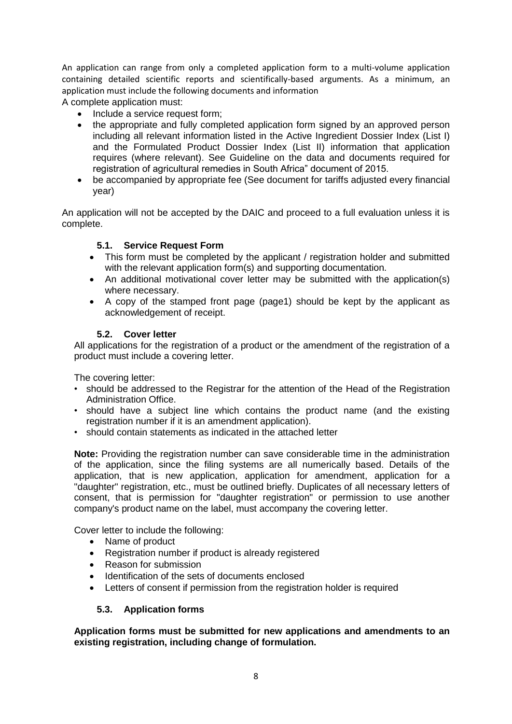An application can range from only a completed application form to a multi-volume application containing detailed scientific reports and scientifically-based arguments. As a minimum, an application must include the following documents and information

A complete application must:

- Include a service request form;
- the appropriate and fully completed application form signed by an approved person including all relevant information listed in the Active Ingredient Dossier Index (List I) and the Formulated Product Dossier Index (List II) information that application requires (where relevant). See Guideline on the data and documents required for registration of agricultural remedies in South Africa" document of 2015.
- be accompanied by appropriate fee (See document for tariffs adjusted every financial year)

An application will not be accepted by the DAIC and proceed to a full evaluation unless it is complete.

# **5.1. Service Request Form**

- <span id="page-7-0"></span>• This form must be completed by the applicant / registration holder and submitted with the relevant application form(s) and supporting documentation.
- An additional motivational cover letter may be submitted with the application(s) where necessary.
- A copy of the stamped front page (page1) should be kept by the applicant as acknowledgement of receipt.

# **5.2. Cover letter**

<span id="page-7-1"></span>All applications for the registration of a product or the amendment of the registration of a product must include a covering letter.

The covering letter:

- should be addressed to the Registrar for the attention of the Head of the Registration Administration Office.
- should have a subject line which contains the product name (and the existing registration number if it is an amendment application).
- should contain statements as indicated in the attached letter

**Note:** Providing the registration number can save considerable time in the administration of the application, since the filing systems are all numerically based. Details of the application, that is new application, application for amendment, application for a "daughter" registration, etc., must be outlined briefly. Duplicates of all necessary letters of consent, that is permission for "daughter registration" or permission to use another company's product name on the label, must accompany the covering letter.

Cover letter to include the following:

- Name of product
- Registration number if product is already registered
- Reason for submission
- Identification of the sets of documents enclosed
- Letters of consent if permission from the registration holder is required

# **5.3. Application forms**

<span id="page-7-2"></span>**Application forms must be submitted for new applications and amendments to an existing registration, including change of formulation.**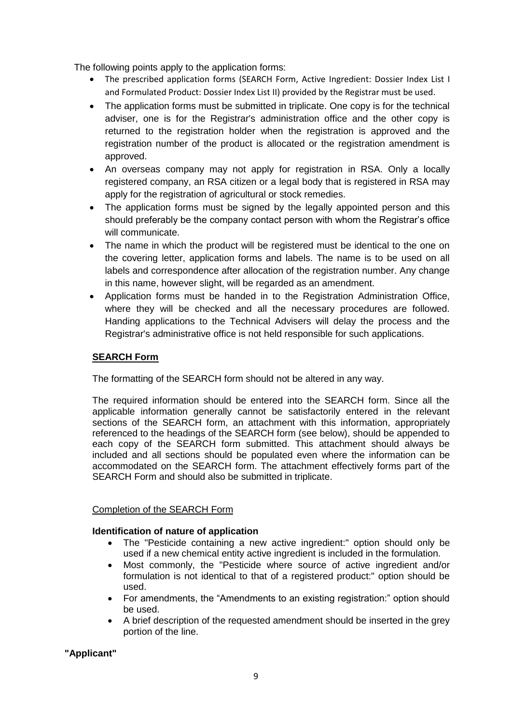The following points apply to the application forms:

- The prescribed application forms (SEARCH Form, Active Ingredient: Dossier Index List I and Formulated Product: Dossier Index List II) provided by the Registrar must be used.
- The application forms must be submitted in triplicate. One copy is for the technical adviser, one is for the Registrar's administration office and the other copy is returned to the registration holder when the registration is approved and the registration number of the product is allocated or the registration amendment is approved.
- An overseas company may not apply for registration in RSA. Only a locally registered company, an RSA citizen or a legal body that is registered in RSA may apply for the registration of agricultural or stock remedies.
- The application forms must be signed by the legally appointed person and this should preferably be the company contact person with whom the Registrar's office will communicate
- The name in which the product will be registered must be identical to the one on the covering letter, application forms and labels. The name is to be used on all labels and correspondence after allocation of the registration number. Any change in this name, however slight, will be regarded as an amendment.
- Application forms must be handed in to the Registration Administration Office, where they will be checked and all the necessary procedures are followed. Handing applications to the Technical Advisers will delay the process and the Registrar's administrative office is not held responsible for such applications.

# **SEARCH Form**

The formatting of the SEARCH form should not be altered in any way.

The required information should be entered into the SEARCH form. Since all the applicable information generally cannot be satisfactorily entered in the relevant sections of the SEARCH form, an attachment with this information, appropriately referenced to the headings of the SEARCH form (see below), should be appended to each copy of the SEARCH form submitted. This attachment should always be included and all sections should be populated even where the information can be accommodated on the SEARCH form. The attachment effectively forms part of the SEARCH Form and should also be submitted in triplicate.

#### Completion of the SEARCH Form

#### **Identification of nature of application**

- The "Pesticide containing a new active ingredient:" option should only be used if a new chemical entity active ingredient is included in the formulation.
- Most commonly, the "Pesticide where source of active ingredient and/or formulation is not identical to that of a registered product:" option should be used.
- For amendments, the "Amendments to an existing registration:" option should be used.
- A brief description of the requested amendment should be inserted in the grey portion of the line.

**"Applicant"**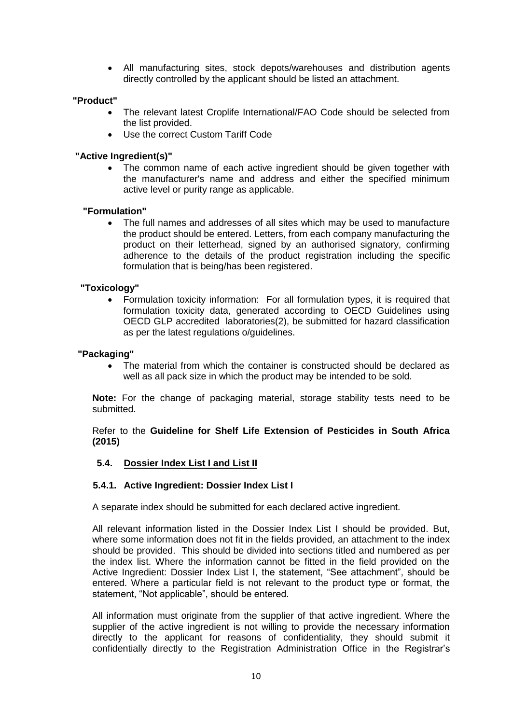All manufacturing sites, stock depots/warehouses and distribution agents directly controlled by the applicant should be listed an attachment.

# **"Product"**

- The relevant latest Croplife International/FAO Code should be selected from the list provided.
- Use the correct Custom Tariff Code

#### **"Active Ingredient(s)"**

• The common name of each active ingredient should be given together with the manufacturer's name and address and either the specified minimum active level or purity range as applicable.

#### **"Formulation"**

 The full names and addresses of all sites which may be used to manufacture the product should be entered. Letters, from each company manufacturing the product on their letterhead, signed by an authorised signatory, confirming adherence to the details of the product registration including the specific formulation that is being/has been registered.

#### **"Toxicology"**

 Formulation toxicity information: For all formulation types, it is required that formulation toxicity data, generated according to OECD Guidelines using OECD GLP accredited laboratories(2), be submitted for hazard classification as per the latest regulations o/guidelines.

#### **"Packaging"**

• The material from which the container is constructed should be declared as well as all pack size in which the product may be intended to be sold.

**Note:** For the change of packaging material, storage stability tests need to be submitted.

Refer to the **Guideline for Shelf Life Extension of Pesticides in South Africa (2015)** 

#### <span id="page-9-0"></span>**5.4. Dossier Index List I and List II**

#### <span id="page-9-1"></span>**5.4.1. Active Ingredient: Dossier Index List I**

A separate index should be submitted for each declared active ingredient.

All relevant information listed in the Dossier Index List I should be provided. But, where some information does not fit in the fields provided, an attachment to the index should be provided. This should be divided into sections titled and numbered as per the index list. Where the information cannot be fitted in the field provided on the Active Ingredient: Dossier Index List I, the statement, "See attachment", should be entered. Where a particular field is not relevant to the product type or format, the statement, "Not applicable", should be entered.

All information must originate from the supplier of that active ingredient. Where the supplier of the active ingredient is not willing to provide the necessary information directly to the applicant for reasons of confidentiality, they should submit it confidentially directly to the Registration Administration Office in the Registrar's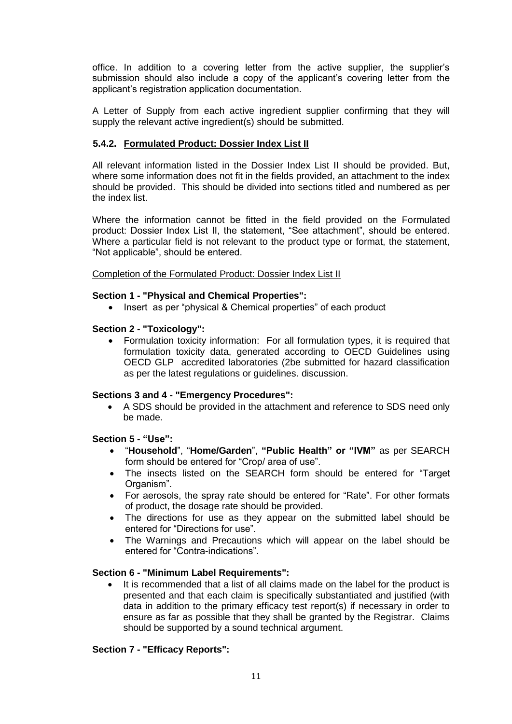office. In addition to a covering letter from the active supplier, the supplier's submission should also include a copy of the applicant's covering letter from the applicant's registration application documentation.

A Letter of Supply from each active ingredient supplier confirming that they will supply the relevant active ingredient(s) should be submitted.

### <span id="page-10-0"></span>**5.4.2. Formulated Product: Dossier Index List II**

All relevant information listed in the Dossier Index List II should be provided. But, where some information does not fit in the fields provided, an attachment to the index should be provided. This should be divided into sections titled and numbered as per the index list.

Where the information cannot be fitted in the field provided on the Formulated product: Dossier Index List II, the statement, "See attachment", should be entered. Where a particular field is not relevant to the product type or format, the statement, "Not applicable", should be entered.

Completion of the Formulated Product: Dossier Index List II

#### **Section 1 - "Physical and Chemical Properties":**

Insert as per "physical & Chemical properties" of each product

#### **Section 2 - "Toxicology":**

 Formulation toxicity information: For all formulation types, it is required that formulation toxicity data, generated according to OECD Guidelines using OECD GLP accredited laboratories (2be submitted for hazard classification as per the latest regulations or guidelines. discussion.

#### **Sections 3 and 4 - "Emergency Procedures":**

 A SDS should be provided in the attachment and reference to SDS need only be made.

#### **Section 5 - "Use":**

- "**Household**", "**Home/Garden**", **"Public Health" or "IVM"** as per SEARCH form should be entered for "Crop/ area of use".
- The insects listed on the SEARCH form should be entered for "Target Organism".
- For aerosols, the spray rate should be entered for "Rate". For other formats of product, the dosage rate should be provided.
- The directions for use as they appear on the submitted label should be entered for "Directions for use".
- The Warnings and Precautions which will appear on the label should be entered for "Contra-indications".

#### **Section 6 - "Minimum Label Requirements":**

 It is recommended that a list of all claims made on the label for the product is presented and that each claim is specifically substantiated and justified (with data in addition to the primary efficacy test report(s) if necessary in order to ensure as far as possible that they shall be granted by the Registrar. Claims should be supported by a sound technical argument.

#### **Section 7 - "Efficacy Reports":**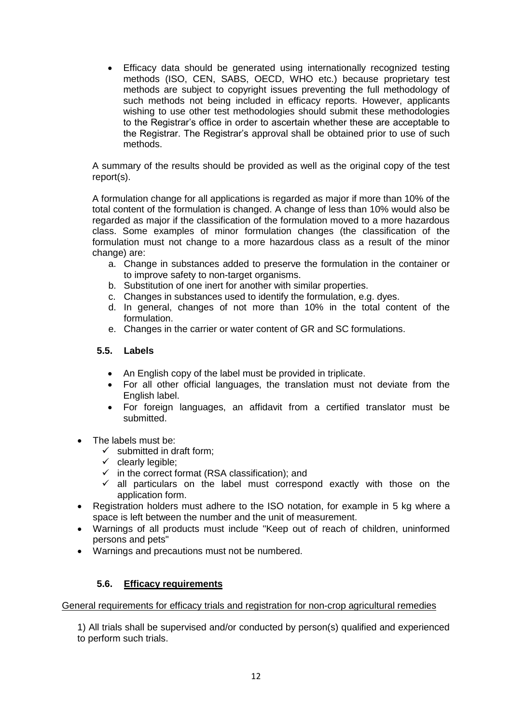Efficacy data should be generated using internationally recognized testing methods (ISO, CEN, SABS, OECD, WHO etc.) because proprietary test methods are subject to copyright issues preventing the full methodology of such methods not being included in efficacy reports. However, applicants wishing to use other test methodologies should submit these methodologies to the Registrar's office in order to ascertain whether these are acceptable to the Registrar. The Registrar's approval shall be obtained prior to use of such methods.

A summary of the results should be provided as well as the original copy of the test report(s).

A formulation change for all applications is regarded as major if more than 10% of the total content of the formulation is changed. A change of less than 10% would also be regarded as major if the classification of the formulation moved to a more hazardous class. Some examples of minor formulation changes (the classification of the formulation must not change to a more hazardous class as a result of the minor change) are:

- a. Change in substances added to preserve the formulation in the container or to improve safety to non-target organisms.
- b. Substitution of one inert for another with similar properties.
- c. Changes in substances used to identify the formulation, e.g. dyes.
- d. In general, changes of not more than 10% in the total content of the formulation.
- e. Changes in the carrier or water content of GR and SC formulations.

#### <span id="page-11-0"></span>**5.5. Labels**

- An English copy of the label must be provided in triplicate.
- For all other official languages, the translation must not deviate from the English label.
- For foreign languages, an affidavit from a certified translator must be submitted.
- The labels must be:
	- $\checkmark$  submitted in draft form:
	- $\checkmark$  clearly legible;
	- $\checkmark$  in the correct format (RSA classification); and
	- $\checkmark$  all particulars on the label must correspond exactly with those on the application form.
- Registration holders must adhere to the ISO notation, for example in 5 kg where a space is left between the number and the unit of measurement.
- Warnings of all products must include "Keep out of reach of children, uninformed persons and pets"
- Warnings and precautions must not be numbered.

#### **5.6. Efficacy requirements**

<span id="page-11-1"></span>General requirements for efficacy trials and registration for non-crop agricultural remedies

1) All trials shall be supervised and/or conducted by person(s) qualified and experienced to perform such trials.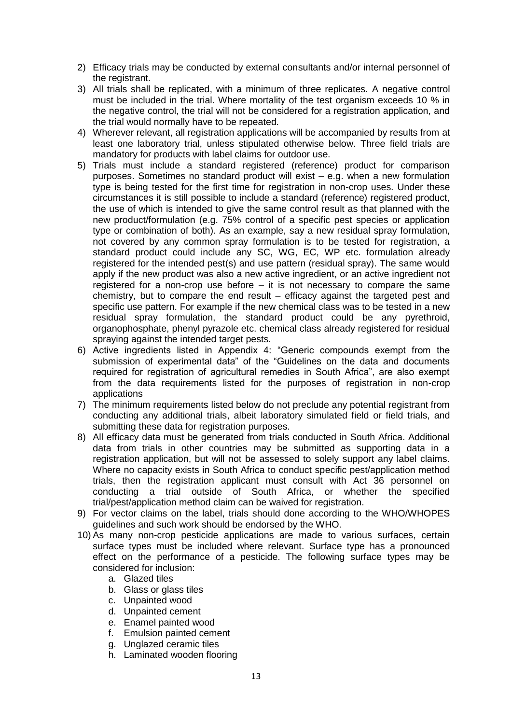- 2) Efficacy trials may be conducted by external consultants and/or internal personnel of the registrant.
- 3) All trials shall be replicated, with a minimum of three replicates. A negative control must be included in the trial. Where mortality of the test organism exceeds 10 % in the negative control, the trial will not be considered for a registration application, and the trial would normally have to be repeated.
- 4) Wherever relevant, all registration applications will be accompanied by results from at least one laboratory trial, unless stipulated otherwise below. Three field trials are mandatory for products with label claims for outdoor use.
- 5) Trials must include a standard registered (reference) product for comparison purposes. Sometimes no standard product will exist – e.g. when a new formulation type is being tested for the first time for registration in non-crop uses. Under these circumstances it is still possible to include a standard (reference) registered product, the use of which is intended to give the same control result as that planned with the new product/formulation (e.g. 75% control of a specific pest species or application type or combination of both). As an example, say a new residual spray formulation, not covered by any common spray formulation is to be tested for registration, a standard product could include any SC, WG, EC, WP etc. formulation already registered for the intended pest(s) and use pattern (residual spray). The same would apply if the new product was also a new active ingredient, or an active ingredient not registered for a non-crop use before – it is not necessary to compare the same chemistry, but to compare the end result – efficacy against the targeted pest and specific use pattern. For example if the new chemical class was to be tested in a new residual spray formulation, the standard product could be any pyrethroid, organophosphate, phenyl pyrazole etc. chemical class already registered for residual spraying against the intended target pests.
- 6) Active ingredients listed in Appendix 4: "Generic compounds exempt from the submission of experimental data" of the "Guidelines on the data and documents required for registration of agricultural remedies in South Africa", are also exempt from the data requirements listed for the purposes of registration in non-crop applications
- 7) The minimum requirements listed below do not preclude any potential registrant from conducting any additional trials, albeit laboratory simulated field or field trials, and submitting these data for registration purposes.
- 8) All efficacy data must be generated from trials conducted in South Africa. Additional data from trials in other countries may be submitted as supporting data in a registration application, but will not be assessed to solely support any label claims. Where no capacity exists in South Africa to conduct specific pest/application method trials, then the registration applicant must consult with Act 36 personnel on conducting a trial outside of South Africa, or whether the specified trial/pest/application method claim can be waived for registration.
- 9) For vector claims on the label, trials should done according to the WHO/WHOPES guidelines and such work should be endorsed by the WHO.
- 10) As many non-crop pesticide applications are made to various surfaces, certain surface types must be included where relevant. Surface type has a pronounced effect on the performance of a pesticide. The following surface types may be considered for inclusion:
	- a. Glazed tiles
	- b. Glass or glass tiles
	- c. Unpainted wood
	- d. Unpainted cement
	- e. Enamel painted wood
	- f. Emulsion painted cement
	- g. Unglazed ceramic tiles
	- h. Laminated wooden flooring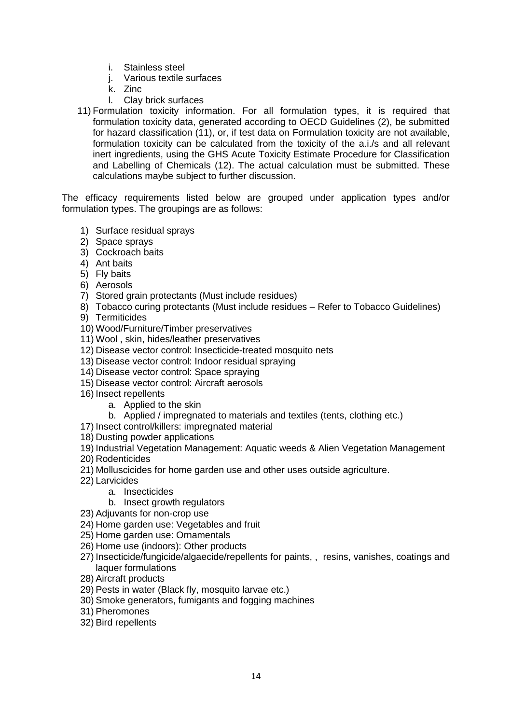- i. Stainless steel
- j. Various textile surfaces
- k. Zinc
- l. Clay brick surfaces
- 11) Formulation toxicity information. For all formulation types, it is required that formulation toxicity data, generated according to OECD Guidelines (2), be submitted for hazard classification (11), or, if test data on Formulation toxicity are not available, formulation toxicity can be calculated from the toxicity of the a.i./s and all relevant inert ingredients, using the GHS Acute Toxicity Estimate Procedure for Classification and Labelling of Chemicals (12). The actual calculation must be submitted. These calculations maybe subject to further discussion.

The efficacy requirements listed below are grouped under application types and/or formulation types. The groupings are as follows:

- 1) Surface residual sprays
- 2) Space sprays
- 3) Cockroach baits
- 4) Ant baits
- 5) Fly baits
- 6) Aerosols
- 7) Stored grain protectants (Must include residues)
- 8) Tobacco curing protectants (Must include residues Refer to Tobacco Guidelines)
- 9) Termiticides
- 10) Wood/Furniture/Timber preservatives
- 11) Wool , skin, hides/leather preservatives
- 12) Disease vector control: Insecticide-treated mosquito nets
- 13) Disease vector control: Indoor residual spraying
- 14) Disease vector control: Space spraying
- 15) Disease vector control: Aircraft aerosols
- 16) Insect repellents
	- a. Applied to the skin
	- b. Applied / impregnated to materials and textiles (tents, clothing etc.)
- 17) Insect control/killers: impregnated material
- 18) Dusting powder applications
- 19) Industrial Vegetation Management: Aquatic weeds & Alien Vegetation Management
- 20) Rodenticides
- 21) Molluscicides for home garden use and other uses outside agriculture.
- 22) Larvicides
	- a. Insecticides
	- b. Insect growth regulators
- 23) Adjuvants for non-crop use
- 24) Home garden use: Vegetables and fruit
- 25) Home garden use: Ornamentals
- 26) Home use (indoors): Other products
- 27) Insecticide/fungicide/algaecide/repellents for paints, , resins, vanishes, coatings and laquer formulations
- 28) Aircraft products
- 29) Pests in water (Black fly, mosquito larvae etc.)
- 30) Smoke generators, fumigants and fogging machines
- 31) Pheromones
- 32) Bird repellents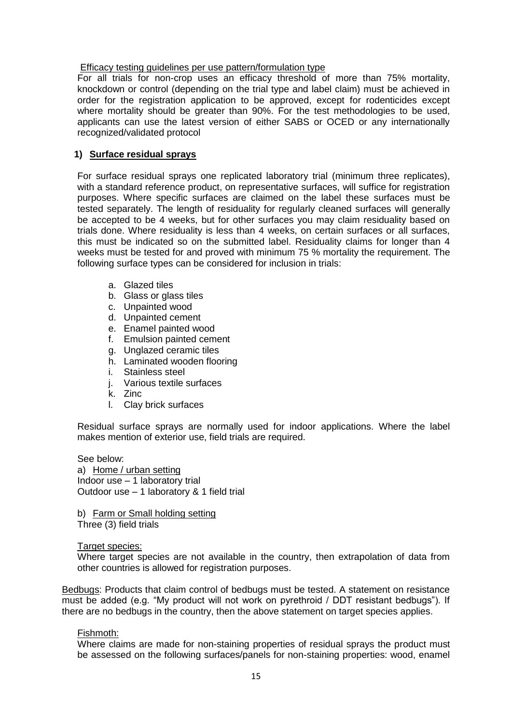#### Efficacy testing guidelines per use pattern/formulation type

For all trials for non-crop uses an efficacy threshold of more than 75% mortality, knockdown or control (depending on the trial type and label claim) must be achieved in order for the registration application to be approved, except for rodenticides except where mortality should be greater than 90%. For the test methodologies to be used, applicants can use the latest version of either SABS or OCED or any internationally recognized/validated protocol

### **1) Surface residual sprays**

For surface residual sprays one replicated laboratory trial (minimum three replicates), with a standard reference product, on representative surfaces, will suffice for registration purposes. Where specific surfaces are claimed on the label these surfaces must be tested separately. The length of residuality for regularly cleaned surfaces will generally be accepted to be 4 weeks, but for other surfaces you may claim residuality based on trials done. Where residuality is less than 4 weeks, on certain surfaces or all surfaces, this must be indicated so on the submitted label. Residuality claims for longer than 4 weeks must be tested for and proved with minimum 75 % mortality the requirement. The following surface types can be considered for inclusion in trials:

- a. Glazed tiles
- b. Glass or glass tiles
- c. Unpainted wood
- d. Unpainted cement
- e. Enamel painted wood
- f. Emulsion painted cement
- g. Unglazed ceramic tiles
- h. Laminated wooden flooring
- i. Stainless steel
- j. Various textile surfaces
- k. Zinc
- l. Clay brick surfaces

Residual surface sprays are normally used for indoor applications. Where the label makes mention of exterior use, field trials are required.

See below: a) Home / urban setting Indoor use – 1 laboratory trial Outdoor use – 1 laboratory & 1 field trial

b) Farm or Small holding setting Three (3) field trials

#### Target species:

Where target species are not available in the country, then extrapolation of data from other countries is allowed for registration purposes.

Bedbugs: Products that claim control of bedbugs must be tested. A statement on resistance must be added (e.g. "My product will not work on pyrethroid / DDT resistant bedbugs"). If there are no bedbugs in the country, then the above statement on target species applies.

#### Fishmoth:

Where claims are made for non-staining properties of residual sprays the product must be assessed on the following surfaces/panels for non-staining properties: wood, enamel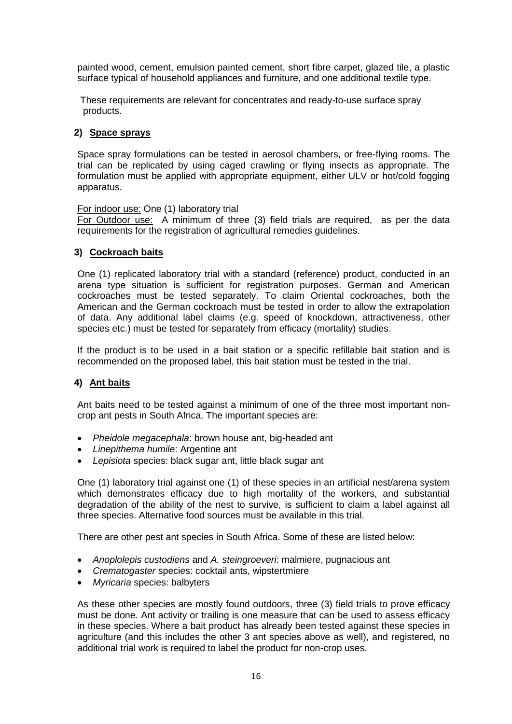painted wood, cement, emulsion painted cement, short fibre carpet, glazed tile, a plastic surface typical of household appliances and furniture, and one additional textile type.

 These requirements are relevant for concentrates and ready-to-use surface spray products.

#### **2) Space sprays**

Space spray formulations can be tested in aerosol chambers, or free-flying rooms. The trial can be replicated by using caged crawling or flying insects as appropriate. The formulation must be applied with appropriate equipment, either ULV or hot/cold fogging apparatus.

#### For indoor use: One (1) laboratory trial

For Outdoor use: A minimum of three (3) field trials are required, as per the data requirements for the registration of agricultural remedies guidelines.

#### **3) Cockroach baits**

One (1) replicated laboratory trial with a standard (reference) product, conducted in an arena type situation is sufficient for registration purposes. German and American cockroaches must be tested separately. To claim Oriental cockroaches, both the American and the German cockroach must be tested in order to allow the extrapolation of data. Any additional label claims (e.g. speed of knockdown, attractiveness, other species etc.) must be tested for separately from efficacy (mortality) studies.

If the product is to be used in a bait station or a specific refillable bait station and is recommended on the proposed label, this bait station must be tested in the trial.

#### **4) Ant baits**

Ant baits need to be tested against a minimum of one of the three most important noncrop ant pests in South Africa. The important species are:

- *Pheidole megacephala*: brown house ant, big-headed ant
- *Linepithema humile*: Argentine ant
- *Lepisiota* species: black sugar ant, little black sugar ant

One (1) laboratory trial against one (1) of these species in an artificial nest/arena system which demonstrates efficacy due to high mortality of the workers, and substantial degradation of the ability of the nest to survive, is sufficient to claim a label against all three species. Alternative food sources must be available in this trial.

There are other pest ant species in South Africa. Some of these are listed below:

- *Anoplolepis custodiens* and *A. steingroeveri*: malmiere, pugnacious ant
- *Crematogaster* species: cocktail ants, wipstertmiere
- *Myricaria* species: balbyters

As these other species are mostly found outdoors, three (3) field trials to prove efficacy must be done. Ant activity or trailing is one measure that can be used to assess efficacy in these species. Where a bait product has already been tested against these species in agriculture (and this includes the other 3 ant species above as well), and registered, no additional trial work is required to label the product for non-crop uses.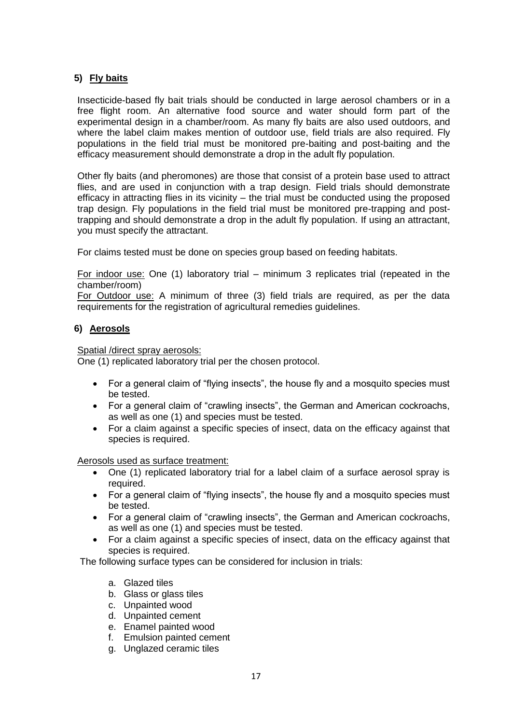# **5) Fly baits**

Insecticide-based fly bait trials should be conducted in large aerosol chambers or in a free flight room. An alternative food source and water should form part of the experimental design in a chamber/room. As many fly baits are also used outdoors, and where the label claim makes mention of outdoor use, field trials are also required. Fly populations in the field trial must be monitored pre-baiting and post-baiting and the efficacy measurement should demonstrate a drop in the adult fly population.

Other fly baits (and pheromones) are those that consist of a protein base used to attract flies, and are used in conjunction with a trap design. Field trials should demonstrate efficacy in attracting flies in its vicinity – the trial must be conducted using the proposed trap design. Fly populations in the field trial must be monitored pre-trapping and posttrapping and should demonstrate a drop in the adult fly population. If using an attractant, you must specify the attractant.

For claims tested must be done on species group based on feeding habitats.

For indoor use: One (1) laboratory trial – minimum 3 replicates trial (repeated in the chamber/room)

For Outdoor use: A minimum of three (3) field trials are required, as per the data requirements for the registration of agricultural remedies guidelines.

# **6) Aerosols**

Spatial /direct spray aerosols:

One (1) replicated laboratory trial per the chosen protocol.

- For a general claim of "flying insects", the house fly and a mosquito species must be tested.
- For a general claim of "crawling insects", the German and American cockroachs, as well as one (1) and species must be tested.
- For a claim against a specific species of insect, data on the efficacy against that species is required.

Aerosols used as surface treatment:

- One (1) replicated laboratory trial for a label claim of a surface aerosol spray is required.
- For a general claim of "flying insects", the house fly and a mosquito species must be tested.
- For a general claim of "crawling insects", the German and American cockroachs, as well as one (1) and species must be tested.
- For a claim against a specific species of insect, data on the efficacy against that species is required.

The following surface types can be considered for inclusion in trials:

- a. Glazed tiles
- b. Glass or glass tiles
- c. Unpainted wood
- d. Unpainted cement
- e. Enamel painted wood
- f. Emulsion painted cement
- g. Unglazed ceramic tiles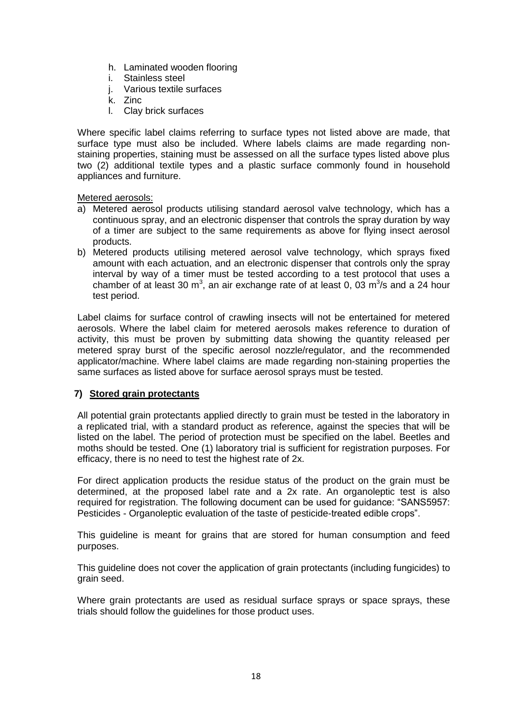- h. Laminated wooden flooring
- i. Stainless steel
- j. Various textile surfaces
- k. Zinc
- l. Clay brick surfaces

Where specific label claims referring to surface types not listed above are made, that surface type must also be included. Where labels claims are made regarding nonstaining properties, staining must be assessed on all the surface types listed above plus two (2) additional textile types and a plastic surface commonly found in household appliances and furniture.

#### Metered aerosols:

- a) Metered aerosol products utilising standard aerosol valve technology, which has a continuous spray, and an electronic dispenser that controls the spray duration by way of a timer are subject to the same requirements as above for flying insect aerosol products.
- b) Metered products utilising metered aerosol valve technology, which sprays fixed amount with each actuation, and an electronic dispenser that controls only the spray interval by way of a timer must be tested according to a test protocol that uses a chamber of at least 30  $m^3$ , an air exchange rate of at least 0, 03  $m^3/s$  and a 24 hour test period.

Label claims for surface control of crawling insects will not be entertained for metered aerosols. Where the label claim for metered aerosols makes reference to duration of activity, this must be proven by submitting data showing the quantity released per metered spray burst of the specific aerosol nozzle/regulator, and the recommended applicator/machine. Where label claims are made regarding non-staining properties the same surfaces as listed above for surface aerosol sprays must be tested.

# **7) Stored grain protectants**

All potential grain protectants applied directly to grain must be tested in the laboratory in a replicated trial, with a standard product as reference, against the species that will be listed on the label. The period of protection must be specified on the label. Beetles and moths should be tested. One (1) laboratory trial is sufficient for registration purposes. For efficacy, there is no need to test the highest rate of 2x.

For direct application products the residue status of the product on the grain must be determined, at the proposed label rate and a 2x rate. An organoleptic test is also required for registration. The following document can be used for guidance: "SANS5957: Pesticides - Organoleptic evaluation of the taste of pesticide-treated edible crops".

This guideline is meant for grains that are stored for human consumption and feed purposes.

This guideline does not cover the application of grain protectants (including fungicides) to grain seed.

Where grain protectants are used as residual surface sprays or space sprays, these trials should follow the guidelines for those product uses.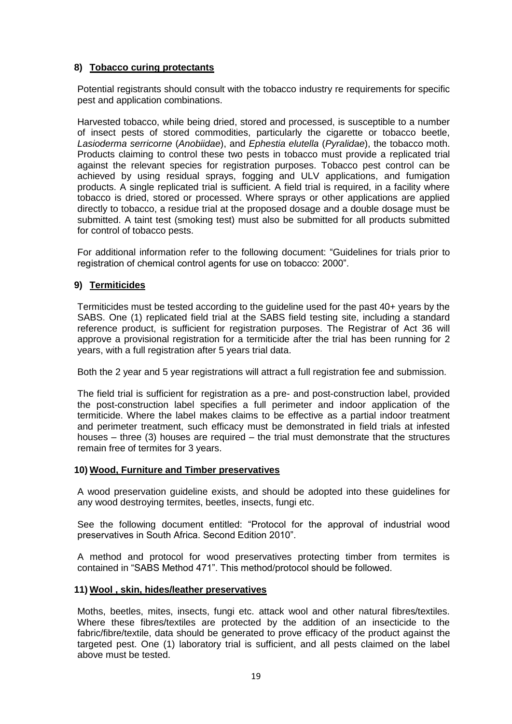# **8) Tobacco curing protectants**

Potential registrants should consult with the tobacco industry re requirements for specific pest and application combinations.

Harvested tobacco, while being dried, stored and processed, is susceptible to a number of insect pests of stored commodities, particularly the cigarette or tobacco beetle, *Lasioderma serricorne* (*Anobiidae*), and *Ephestia elutella* (*Pyralidae*), the tobacco moth. Products claiming to control these two pests in tobacco must provide a replicated trial against the relevant species for registration purposes. Tobacco pest control can be achieved by using residual sprays, fogging and ULV applications, and fumigation products. A single replicated trial is sufficient. A field trial is required, in a facility where tobacco is dried, stored or processed. Where sprays or other applications are applied directly to tobacco, a residue trial at the proposed dosage and a double dosage must be submitted. A taint test (smoking test) must also be submitted for all products submitted for control of tobacco pests.

For additional information refer to the following document: "Guidelines for trials prior to registration of chemical control agents for use on tobacco: 2000".

# **9) Termiticides**

Termiticides must be tested according to the guideline used for the past 40+ years by the SABS. One (1) replicated field trial at the SABS field testing site, including a standard reference product, is sufficient for registration purposes. The Registrar of Act 36 will approve a provisional registration for a termiticide after the trial has been running for 2 years, with a full registration after 5 years trial data.

Both the 2 year and 5 year registrations will attract a full registration fee and submission.

The field trial is sufficient for registration as a pre- and post-construction label, provided the post-construction label specifies a full perimeter and indoor application of the termiticide. Where the label makes claims to be effective as a partial indoor treatment and perimeter treatment, such efficacy must be demonstrated in field trials at infested houses – three (3) houses are required – the trial must demonstrate that the structures remain free of termites for 3 years.

#### **10) Wood, Furniture and Timber preservatives**

A wood preservation guideline exists, and should be adopted into these guidelines for any wood destroying termites, beetles, insects, fungi etc.

See the following document entitled: "Protocol for the approval of industrial wood preservatives in South Africa. Second Edition 2010".

A method and protocol for wood preservatives protecting timber from termites is contained in "SABS Method 471". This method/protocol should be followed.

#### **11) Wool , skin, hides/leather preservatives**

Moths, beetles, mites, insects, fungi etc. attack wool and other natural fibres/textiles. Where these fibres/textiles are protected by the addition of an insecticide to the fabric/fibre/textile, data should be generated to prove efficacy of the product against the targeted pest. One (1) laboratory trial is sufficient, and all pests claimed on the label above must be tested.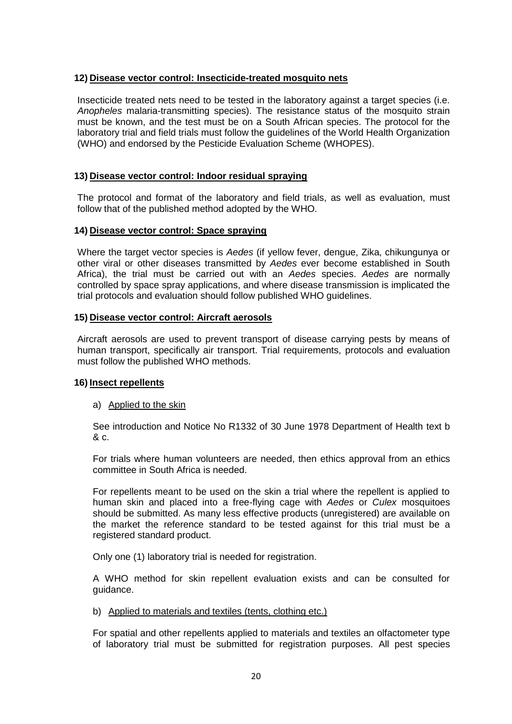# **12) Disease vector control: Insecticide-treated mosquito nets**

Insecticide treated nets need to be tested in the laboratory against a target species (i.e. *Anopheles* malaria-transmitting species). The resistance status of the mosquito strain must be known, and the test must be on a South African species. The protocol for the laboratory trial and field trials must follow the guidelines of the World Health Organization (WHO) and endorsed by the Pesticide Evaluation Scheme (WHOPES).

#### **13) Disease vector control: Indoor residual spraying**

The protocol and format of the laboratory and field trials, as well as evaluation, must follow that of the published method adopted by the WHO.

#### **14) Disease vector control: Space spraying**

Where the target vector species is *Aedes* (if yellow fever, dengue, Zika, chikungunya or other viral or other diseases transmitted by *Aedes* ever become established in South Africa), the trial must be carried out with an *Aedes* species. *Aedes* are normally controlled by space spray applications, and where disease transmission is implicated the trial protocols and evaluation should follow published WHO guidelines.

#### **15) Disease vector control: Aircraft aerosols**

Aircraft aerosols are used to prevent transport of disease carrying pests by means of human transport, specifically air transport. Trial requirements, protocols and evaluation must follow the published WHO methods.

#### **16) Insect repellents**

#### a) Applied to the skin

See introduction and Notice No R1332 of 30 June 1978 Department of Health text b & c.

For trials where human volunteers are needed, then ethics approval from an ethics committee in South Africa is needed.

For repellents meant to be used on the skin a trial where the repellent is applied to human skin and placed into a free-flying cage with *Aedes* or *Culex* mosquitoes should be submitted. As many less effective products (unregistered) are available on the market the reference standard to be tested against for this trial must be a registered standard product.

Only one (1) laboratory trial is needed for registration.

A WHO method for skin repellent evaluation exists and can be consulted for guidance.

#### b) Applied to materials and textiles (tents, clothing etc.)

For spatial and other repellents applied to materials and textiles an olfactometer type of laboratory trial must be submitted for registration purposes. All pest species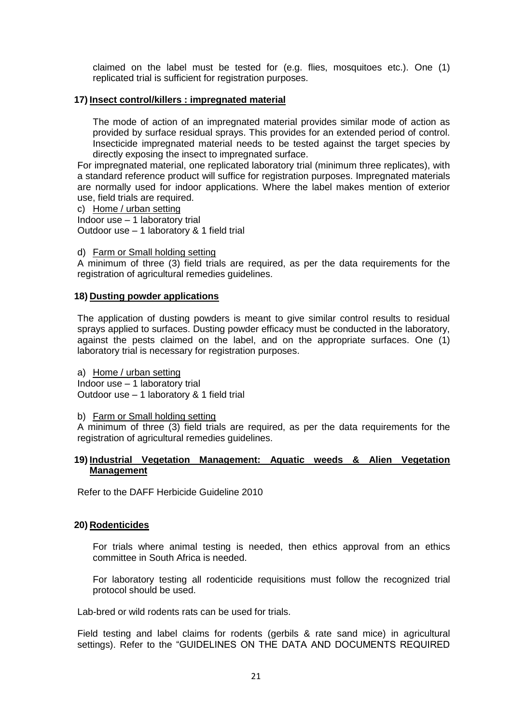claimed on the label must be tested for (e.g. flies, mosquitoes etc.). One (1) replicated trial is sufficient for registration purposes.

#### **17) Insect control/killers : impregnated material**

The mode of action of an impregnated material provides similar mode of action as provided by surface residual sprays. This provides for an extended period of control. Insecticide impregnated material needs to be tested against the target species by directly exposing the insect to impregnated surface.

For impregnated material, one replicated laboratory trial (minimum three replicates), with a standard reference product will suffice for registration purposes. Impregnated materials are normally used for indoor applications. Where the label makes mention of exterior use, field trials are required.

c) Home / urban setting

Indoor use – 1 laboratory trial

Outdoor use – 1 laboratory & 1 field trial

d) Farm or Small holding setting

A minimum of three (3) field trials are required, as per the data requirements for the registration of agricultural remedies guidelines.

#### **18) Dusting powder applications**

The application of dusting powders is meant to give similar control results to residual sprays applied to surfaces. Dusting powder efficacy must be conducted in the laboratory, against the pests claimed on the label, and on the appropriate surfaces. One (1) laboratory trial is necessary for registration purposes.

a) Home / urban setting

Indoor use – 1 laboratory trial Outdoor use – 1 laboratory & 1 field trial

b) Farm or Small holding setting

A minimum of three (3) field trials are required, as per the data requirements for the registration of agricultural remedies guidelines.

#### **19) Industrial Vegetation Management: Aquatic weeds & Alien Vegetation Management**

Refer to the DAFF Herbicide Guideline 2010

#### **20) Rodenticides**

For trials where animal testing is needed, then ethics approval from an ethics committee in South Africa is needed.

For laboratory testing all rodenticide requisitions must follow the recognized trial protocol should be used.

Lab-bred or wild rodents rats can be used for trials.

Field testing and label claims for rodents (gerbils & rate sand mice) in agricultural settings). Refer to the "GUIDELINES ON THE DATA AND DOCUMENTS REQUIRED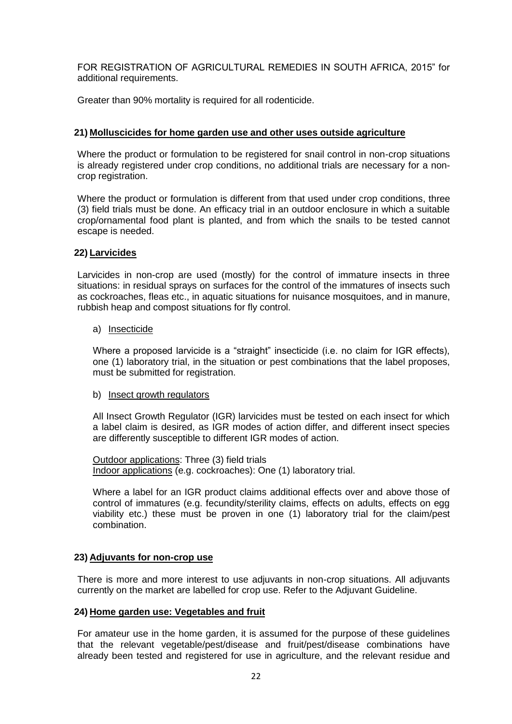FOR REGISTRATION OF AGRICULTURAL REMEDIES IN SOUTH AFRICA, 2015" for additional requirements.

Greater than 90% mortality is required for all rodenticide.

#### **21) Molluscicides for home garden use and other uses outside agriculture**

Where the product or formulation to be registered for snail control in non-crop situations is already registered under crop conditions, no additional trials are necessary for a noncrop registration.

Where the product or formulation is different from that used under crop conditions, three (3) field trials must be done. An efficacy trial in an outdoor enclosure in which a suitable crop/ornamental food plant is planted, and from which the snails to be tested cannot escape is needed.

#### **22) Larvicides**

Larvicides in non-crop are used (mostly) for the control of immature insects in three situations: in residual sprays on surfaces for the control of the immatures of insects such as cockroaches, fleas etc., in aquatic situations for nuisance mosquitoes, and in manure, rubbish heap and compost situations for fly control.

#### a) Insecticide

Where a proposed larvicide is a "straight" insecticide (i.e. no claim for IGR effects), one (1) laboratory trial, in the situation or pest combinations that the label proposes, must be submitted for registration.

#### b) Insect growth regulators

All Insect Growth Regulator (IGR) larvicides must be tested on each insect for which a label claim is desired, as IGR modes of action differ, and different insect species are differently susceptible to different IGR modes of action.

Outdoor applications: Three (3) field trials Indoor applications (e.g. cockroaches): One (1) laboratory trial.

Where a label for an IGR product claims additional effects over and above those of control of immatures (e.g. fecundity/sterility claims, effects on adults, effects on egg viability etc.) these must be proven in one (1) laboratory trial for the claim/pest combination.

#### **23) Adjuvants for non-crop use**

There is more and more interest to use adjuvants in non-crop situations. All adjuvants currently on the market are labelled for crop use. Refer to the Adjuvant Guideline.

#### **24) Home garden use: Vegetables and fruit**

For amateur use in the home garden, it is assumed for the purpose of these guidelines that the relevant vegetable/pest/disease and fruit/pest/disease combinations have already been tested and registered for use in agriculture, and the relevant residue and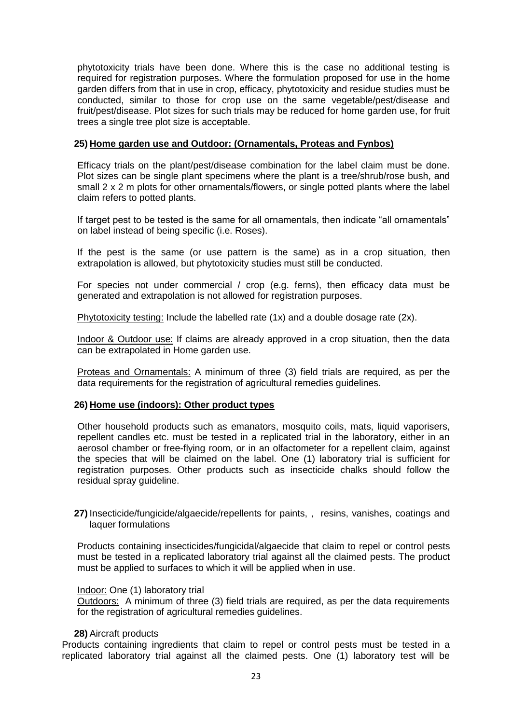phytotoxicity trials have been done. Where this is the case no additional testing is required for registration purposes. Where the formulation proposed for use in the home garden differs from that in use in crop, efficacy, phytotoxicity and residue studies must be conducted, similar to those for crop use on the same vegetable/pest/disease and fruit/pest/disease. Plot sizes for such trials may be reduced for home garden use, for fruit trees a single tree plot size is acceptable.

#### **25) Home garden use and Outdoor: (Ornamentals, Proteas and Fynbos)**

Efficacy trials on the plant/pest/disease combination for the label claim must be done. Plot sizes can be single plant specimens where the plant is a tree/shrub/rose bush, and small 2 x 2 m plots for other ornamentals/flowers, or single potted plants where the label claim refers to potted plants.

If target pest to be tested is the same for all ornamentals, then indicate "all ornamentals" on label instead of being specific (i.e. Roses).

If the pest is the same (or use pattern is the same) as in a crop situation, then extrapolation is allowed, but phytotoxicity studies must still be conducted.

For species not under commercial / crop (e.g. ferns), then efficacy data must be generated and extrapolation is not allowed for registration purposes.

Phytotoxicity testing: Include the labelled rate  $(1x)$  and a double dosage rate  $(2x)$ .

Indoor & Outdoor use: If claims are already approved in a crop situation, then the data can be extrapolated in Home garden use.

Proteas and Ornamentals: A minimum of three (3) field trials are required, as per the data requirements for the registration of agricultural remedies guidelines.

#### **26) Home use (indoors): Other product types**

Other household products such as emanators, mosquito coils, mats, liquid vaporisers, repellent candles etc. must be tested in a replicated trial in the laboratory, either in an aerosol chamber or free-flying room, or in an olfactometer for a repellent claim, against the species that will be claimed on the label. One (1) laboratory trial is sufficient for registration purposes. Other products such as insecticide chalks should follow the residual spray guideline.

**27)** Insecticide/fungicide/algaecide/repellents for paints, , resins, vanishes, coatings and laquer formulations

Products containing insecticides/fungicidal/algaecide that claim to repel or control pests must be tested in a replicated laboratory trial against all the claimed pests. The product must be applied to surfaces to which it will be applied when in use.

#### Indoor: One (1) laboratory trial

Outdoors: A minimum of three (3) field trials are required, as per the data requirements for the registration of agricultural remedies guidelines.

#### **28)** Aircraft products

Products containing ingredients that claim to repel or control pests must be tested in a replicated laboratory trial against all the claimed pests. One (1) laboratory test will be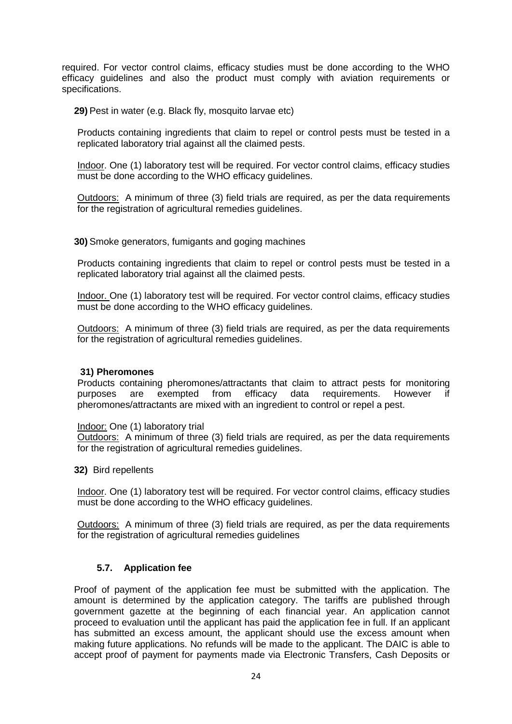required. For vector control claims, efficacy studies must be done according to the WHO efficacy guidelines and also the product must comply with aviation requirements or specifications.

**29)** Pest in water (e.g. Black fly, mosquito larvae etc)

Products containing ingredients that claim to repel or control pests must be tested in a replicated laboratory trial against all the claimed pests.

Indoor. One (1) laboratory test will be required. For vector control claims, efficacy studies must be done according to the WHO efficacy guidelines.

Outdoors: A minimum of three (3) field trials are required, as per the data requirements for the registration of agricultural remedies guidelines.

**30)** Smoke generators, fumigants and goging machines

Products containing ingredients that claim to repel or control pests must be tested in a replicated laboratory trial against all the claimed pests.

Indoor. One (1) laboratory test will be required. For vector control claims, efficacy studies must be done according to the WHO efficacy guidelines.

Outdoors: A minimum of three (3) field trials are required, as per the data requirements for the registration of agricultural remedies guidelines.

#### **31) Pheromones**

Products containing pheromones/attractants that claim to attract pests for monitoring purposes are exempted from efficacy data requirements. However if pheromones/attractants are mixed with an ingredient to control or repel a pest.

#### Indoor: One (1) laboratory trial

Outdoors: A minimum of three (3) field trials are required, as per the data requirements for the registration of agricultural remedies guidelines.

#### **32)** Bird repellents

Indoor. One (1) laboratory test will be required. For vector control claims, efficacy studies must be done according to the WHO efficacy guidelines.

Outdoors: A minimum of three (3) field trials are required, as per the data requirements for the registration of agricultural remedies guidelines

#### **5.7. Application fee**

<span id="page-23-0"></span>Proof of payment of the application fee must be submitted with the application. The amount is determined by the application category. The tariffs are published through government gazette at the beginning of each financial year. An application cannot proceed to evaluation until the applicant has paid the application fee in full. If an applicant has submitted an excess amount, the applicant should use the excess amount when making future applications. No refunds will be made to the applicant. The DAIC is able to accept proof of payment for payments made via Electronic Transfers, Cash Deposits or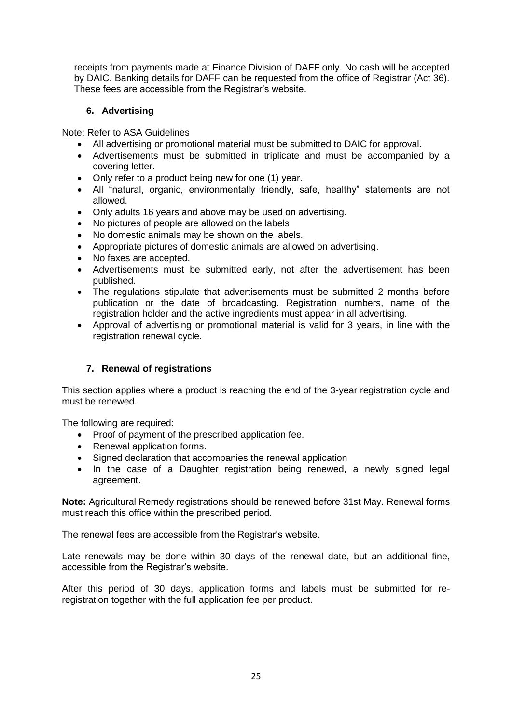receipts from payments made at Finance Division of DAFF only. No cash will be accepted by DAIC. Banking details for DAFF can be requested from the office of Registrar (Act 36). These fees are accessible from the Registrar's website.

# **6. Advertising**

<span id="page-24-0"></span>Note: Refer to ASA Guidelines

- All advertising or promotional material must be submitted to DAIC for approval.
- Advertisements must be submitted in triplicate and must be accompanied by a covering letter.
- Only refer to a product being new for one (1) year.
- All "natural, organic, environmentally friendly, safe, healthy" statements are not allowed.
- Only adults 16 years and above may be used on advertising.
- No pictures of people are allowed on the labels
- No domestic animals may be shown on the labels.
- Appropriate pictures of domestic animals are allowed on advertising.
- No faxes are accepted.
- Advertisements must be submitted early, not after the advertisement has been published.
- The regulations stipulate that advertisements must be submitted 2 months before publication or the date of broadcasting. Registration numbers, name of the registration holder and the active ingredients must appear in all advertising.
- Approval of advertising or promotional material is valid for 3 years, in line with the registration renewal cycle.

# **7. Renewal of registrations**

<span id="page-24-1"></span>This section applies where a product is reaching the end of the 3-year registration cycle and must be renewed.

The following are required:

- Proof of payment of the prescribed application fee.
- Renewal application forms.
- Signed declaration that accompanies the renewal application
- In the case of a Daughter registration being renewed, a newly signed legal agreement.

**Note:** Agricultural Remedy registrations should be renewed before 31st May. Renewal forms must reach this office within the prescribed period.

The renewal fees are accessible from the Registrar's website.

Late renewals may be done within 30 days of the renewal date, but an additional fine, accessible from the Registrar's website.

After this period of 30 days, application forms and labels must be submitted for reregistration together with the full application fee per product.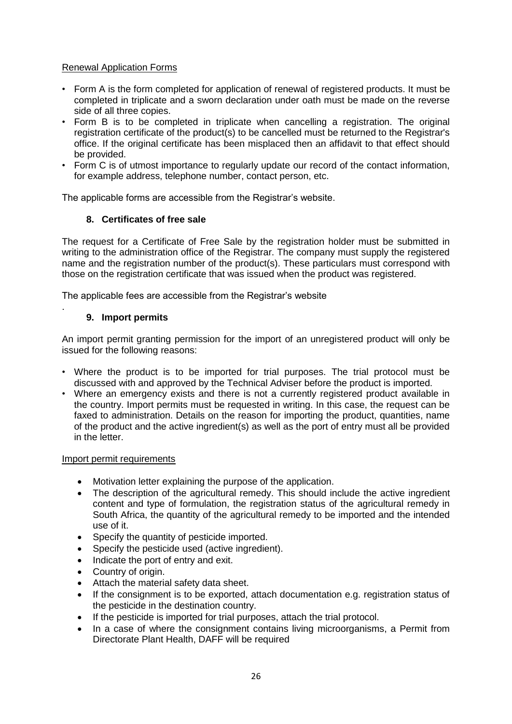# Renewal Application Forms

- Form A is the form completed for application of renewal of registered products. It must be completed in triplicate and a sworn declaration under oath must be made on the reverse side of all three copies.
- Form B is to be completed in triplicate when cancelling a registration. The original registration certificate of the product(s) to be cancelled must be returned to the Registrar's office. If the original certificate has been misplaced then an affidavit to that effect should be provided.
- Form C is of utmost importance to regularly update our record of the contact information, for example address, telephone number, contact person, etc.

The applicable forms are accessible from the Registrar's website.

# **8. Certificates of free sale**

<span id="page-25-0"></span>The request for a Certificate of Free Sale by the registration holder must be submitted in writing to the administration office of the Registrar. The company must supply the registered name and the registration number of the product(s). These particulars must correspond with those on the registration certificate that was issued when the product was registered.

The applicable fees are accessible from the Registrar's website

# **9. Import permits**

<span id="page-25-1"></span>.

An import permit granting permission for the import of an unregistered product will only be issued for the following reasons:

- Where the product is to be imported for trial purposes. The trial protocol must be discussed with and approved by the Technical Adviser before the product is imported.
- Where an emergency exists and there is not a currently registered product available in the country. Import permits must be requested in writing. In this case, the request can be faxed to administration. Details on the reason for importing the product, quantities, name of the product and the active ingredient(s) as well as the port of entry must all be provided in the letter.

#### Import permit requirements

- Motivation letter explaining the purpose of the application.
- The description of the agricultural remedy. This should include the active ingredient content and type of formulation, the registration status of the agricultural remedy in South Africa, the quantity of the agricultural remedy to be imported and the intended use of it.
- Specify the quantity of pesticide imported.
- Specify the pesticide used (active ingredient).
- Indicate the port of entry and exit.
- Country of origin.
- Attach the material safety data sheet.
- If the consignment is to be exported, attach documentation e.g. registration status of the pesticide in the destination country.
- If the pesticide is imported for trial purposes, attach the trial protocol.
- In a case of where the consignment contains living microorganisms, a Permit from Directorate Plant Health, DAFF will be required